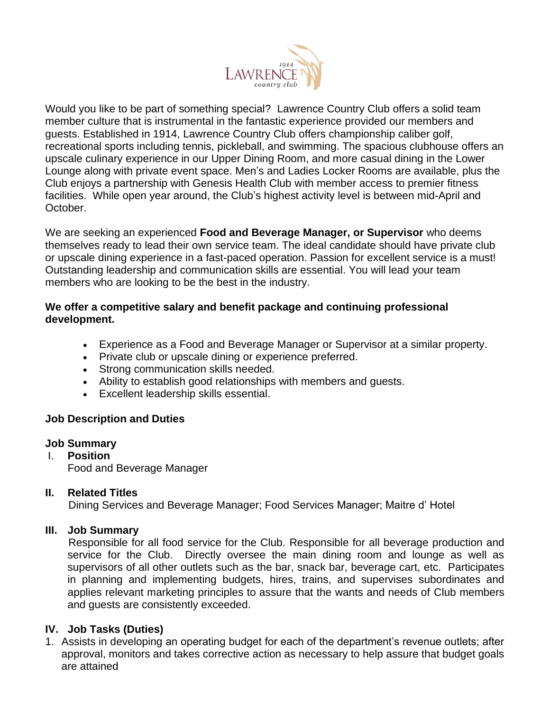

Would you like to be part of something special? Lawrence Country Club offers a solid team member culture that is instrumental in the fantastic experience provided our members and guests. Established in 1914, Lawrence Country Club offers championship caliber golf, recreational sports including tennis, pickleball, and swimming. The spacious clubhouse offers an upscale culinary experience in our Upper Dining Room, and more casual dining in the Lower Lounge along with private event space. Men's and Ladies Locker Rooms are available, plus the Club enjoys a partnership with Genesis Health Club with member access to premier fitness facilities. While open year around, the Club's highest activity level is between mid-April and October.

We are seeking an experienced **Food and Beverage Manager, or Supervisor** who deems themselves ready to lead their own service team. The ideal candidate should have private club or upscale dining experience in a fast-paced operation. Passion for excellent service is a must! Outstanding leadership and communication skills are essential. You will lead your team members who are looking to be the best in the industry.

#### **We offer a competitive salary and benefit package and continuing professional development.**

- Experience as a Food and Beverage Manager or Supervisor at a similar property.
- Private club or upscale dining or experience preferred.
- Strong communication skills needed.
- Ability to establish good relationships with members and guests.
- Excellent leadership skills essential.

## **Job Description and Duties**

#### **Job Summary**

#### I. **Position**

Food and Beverage Manager

## **II. Related Titles**

Dining Services and Beverage Manager; Food Services Manager; Maitre d' Hotel

## **III. Job Summary**

Responsible for all food service for the Club. Responsible for all beverage production and service for the Club. Directly oversee the main dining room and lounge as well as supervisors of all other outlets such as the bar, snack bar, beverage cart, etc. Participates in planning and implementing budgets, hires, trains, and supervises subordinates and applies relevant marketing principles to assure that the wants and needs of Club members and guests are consistently exceeded.

## **IV. Job Tasks (Duties)**

1. Assists in developing an operating budget for each of the department's revenue outlets; after approval, monitors and takes corrective action as necessary to help assure that budget goals are attained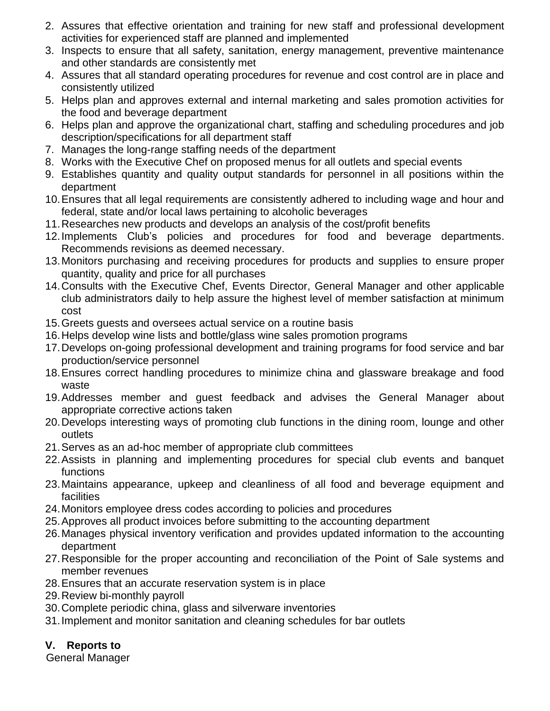- 2. Assures that effective orientation and training for new staff and professional development activities for experienced staff are planned and implemented
- 3. Inspects to ensure that all safety, sanitation, energy management, preventive maintenance and other standards are consistently met
- 4. Assures that all standard operating procedures for revenue and cost control are in place and consistently utilized
- 5. Helps plan and approves external and internal marketing and sales promotion activities for the food and beverage department
- 6. Helps plan and approve the organizational chart, staffing and scheduling procedures and job description/specifications for all department staff
- 7. Manages the long-range staffing needs of the department
- 8. Works with the Executive Chef on proposed menus for all outlets and special events
- 9. Establishes quantity and quality output standards for personnel in all positions within the department
- 10.Ensures that all legal requirements are consistently adhered to including wage and hour and federal, state and/or local laws pertaining to alcoholic beverages
- 11.Researches new products and develops an analysis of the cost/profit benefits
- 12.Implements Club's policies and procedures for food and beverage departments. Recommends revisions as deemed necessary.
- 13.Monitors purchasing and receiving procedures for products and supplies to ensure proper quantity, quality and price for all purchases
- 14.Consults with the Executive Chef, Events Director, General Manager and other applicable club administrators daily to help assure the highest level of member satisfaction at minimum cost
- 15.Greets guests and oversees actual service on a routine basis
- 16.Helps develop wine lists and bottle/glass wine sales promotion programs
- 17.Develops on-going professional development and training programs for food service and bar production/service personnel
- 18.Ensures correct handling procedures to minimize china and glassware breakage and food waste
- 19.Addresses member and guest feedback and advises the General Manager about appropriate corrective actions taken
- 20.Develops interesting ways of promoting club functions in the dining room, lounge and other outlets
- 21.Serves as an ad-hoc member of appropriate club committees
- 22.Assists in planning and implementing procedures for special club events and banquet functions
- 23.Maintains appearance, upkeep and cleanliness of all food and beverage equipment and facilities
- 24.Monitors employee dress codes according to policies and procedures
- 25.Approves all product invoices before submitting to the accounting department
- 26.Manages physical inventory verification and provides updated information to the accounting department
- 27.Responsible for the proper accounting and reconciliation of the Point of Sale systems and member revenues
- 28.Ensures that an accurate reservation system is in place
- 29.Review bi-monthly payroll
- 30.Complete periodic china, glass and silverware inventories
- 31.Implement and monitor sanitation and cleaning schedules for bar outlets

# **V. Reports to**

General Manager